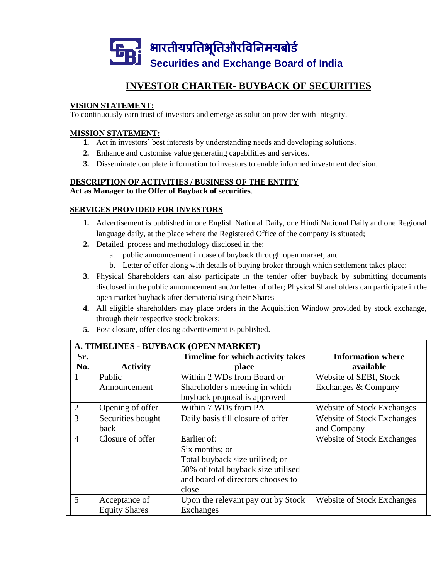

# **INVESTOR CHARTER- BUYBACK OF SECURITIES**

# **VISION STATEMENT:**

To continuously earn trust of investors and emerge as solution provider with integrity.

### **MISSION STATEMENT:**

- **1.** Act in investors' best interests by understanding needs and developing solutions.
- **2.** Enhance and customise value generating capabilities and services.
- **3.** Disseminate complete information to investors to enable informed investment decision.

#### **DESCRIPTION OF ACTIVITIES / BUSINESS OF THE ENTITY Act as Manager to the Offer of Buyback of securities**.

# **SERVICES PROVIDED FOR INVESTORS**

- **1.** Advertisement is published in one English National Daily, one Hindi National Daily and one Regional language daily, at the place where the Registered Office of the company is situated;
- **2.** Detailed process and methodology disclosed in the:
	- a. public announcement in case of buyback through open market; and
	- b. Letter of offer along with details of buying broker through which settlement takes place;
- **3.** Physical Shareholders can also participate in the tender offer buyback by submitting documents disclosed in the public announcement and/or letter of offer; Physical Shareholders can participate in the open market buyback after dematerialising their Shares
- **4.** All eligible shareholders may place orders in the Acquisition Window provided by stock exchange, through their respective stock brokers;
- **5.** Post closure, offer closing advertisement is published.

| A. TIMELINES - BUYBACK (OPEN MARKET) |                      |                                    |                                   |  |  |  |  |  |
|--------------------------------------|----------------------|------------------------------------|-----------------------------------|--|--|--|--|--|
| Sr.                                  |                      | Timeline for which activity takes  | <b>Information where</b>          |  |  |  |  |  |
| No.                                  | <b>Activity</b>      | place                              | available                         |  |  |  |  |  |
| 1                                    | Public               | Within 2 WDs from Board or         | Website of SEBI, Stock            |  |  |  |  |  |
|                                      | Announcement         | Shareholder's meeting in which     | Exchanges & Company               |  |  |  |  |  |
|                                      |                      | buyback proposal is approved       |                                   |  |  |  |  |  |
| 2                                    | Opening of offer     | Within 7 WDs from PA               | <b>Website of Stock Exchanges</b> |  |  |  |  |  |
| 3                                    | Securities bought    | Daily basis till closure of offer  | <b>Website of Stock Exchanges</b> |  |  |  |  |  |
|                                      | back                 |                                    | and Company                       |  |  |  |  |  |
| $\overline{4}$                       | Closure of offer     | Earlier of:                        | <b>Website of Stock Exchanges</b> |  |  |  |  |  |
|                                      |                      | Six months; or                     |                                   |  |  |  |  |  |
|                                      |                      | Total buyback size utilised; or    |                                   |  |  |  |  |  |
|                                      |                      | 50% of total buyback size utilised |                                   |  |  |  |  |  |
|                                      |                      | and board of directors chooses to  |                                   |  |  |  |  |  |
|                                      |                      | close                              |                                   |  |  |  |  |  |
| $\mathfrak{S}$                       | Acceptance of        | Upon the relevant pay out by Stock | <b>Website of Stock Exchanges</b> |  |  |  |  |  |
|                                      | <b>Equity Shares</b> | Exchanges                          |                                   |  |  |  |  |  |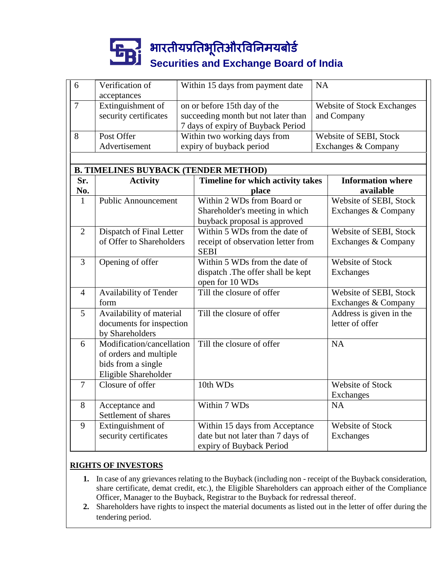# भारतीयप्रततभूततऔरवितिमयबोर्ड **Securities and Exchange Board of India**

| 6                                           | Verification of                          | Within 15 days from payment date    | <b>NA</b>              |                                   |  |  |  |  |
|---------------------------------------------|------------------------------------------|-------------------------------------|------------------------|-----------------------------------|--|--|--|--|
|                                             | acceptances                              |                                     |                        |                                   |  |  |  |  |
| $\overline{7}$                              | Extinguishment of                        | on or before 15th day of the        |                        | <b>Website of Stock Exchanges</b> |  |  |  |  |
|                                             | security certificates                    | succeeding month but not later than | and Company            |                                   |  |  |  |  |
|                                             |                                          | 7 days of expiry of Buyback Period  |                        |                                   |  |  |  |  |
| 8                                           | Post Offer                               | Within two working days from        | Website of SEBI, Stock |                                   |  |  |  |  |
|                                             | Advertisement                            | expiry of buyback period            | Exchanges & Company    |                                   |  |  |  |  |
|                                             |                                          |                                     |                        |                                   |  |  |  |  |
| <b>B. TIMELINES BUYBACK (TENDER METHOD)</b> |                                          |                                     |                        |                                   |  |  |  |  |
| Sr.                                         | <b>Activity</b>                          | Timeline for which activity takes   |                        | <b>Information where</b>          |  |  |  |  |
| No.                                         |                                          | place                               |                        | available                         |  |  |  |  |
| $\mathbf{1}$                                | Public Announcement                      | Within 2 WDs from Board or          |                        | Website of SEBI, Stock            |  |  |  |  |
|                                             |                                          | Shareholder's meeting in which      |                        | Exchanges & Company               |  |  |  |  |
|                                             |                                          | buyback proposal is approved        |                        |                                   |  |  |  |  |
| $\overline{2}$                              | Dispatch of Final Letter                 | Within 5 WDs from the date of       |                        | Website of SEBI, Stock            |  |  |  |  |
|                                             | of Offer to Shareholders                 | receipt of observation letter from  |                        | Exchanges & Company               |  |  |  |  |
|                                             |                                          | <b>SEBI</b>                         |                        |                                   |  |  |  |  |
| $\overline{3}$                              | Opening of offer                         | Within 5 WDs from the date of       |                        | <b>Website of Stock</b>           |  |  |  |  |
|                                             |                                          | dispatch .The offer shall be kept   |                        | Exchanges                         |  |  |  |  |
|                                             |                                          | open for 10 WDs                     |                        |                                   |  |  |  |  |
| $\overline{4}$                              | Availability of Tender                   | Till the closure of offer           |                        | Website of SEBI, Stock            |  |  |  |  |
|                                             | form                                     |                                     |                        | Exchanges & Company               |  |  |  |  |
| 5                                           | Availability of material                 | Till the closure of offer           |                        | Address is given in the           |  |  |  |  |
|                                             | documents for inspection                 |                                     |                        | letter of offer                   |  |  |  |  |
|                                             | by Shareholders                          |                                     |                        |                                   |  |  |  |  |
| 6                                           | Modification/cancellation                | Till the closure of offer           |                        | <b>NA</b>                         |  |  |  |  |
|                                             | of orders and multiple                   |                                     |                        |                                   |  |  |  |  |
|                                             | bids from a single                       |                                     |                        |                                   |  |  |  |  |
|                                             | Eligible Shareholder<br>Closure of offer | 10th WDs                            |                        | <b>Website of Stock</b>           |  |  |  |  |
| $\tau$                                      |                                          |                                     |                        |                                   |  |  |  |  |
| 8                                           |                                          | Within 7 WDs                        |                        | Exchanges<br><b>NA</b>            |  |  |  |  |
|                                             | Acceptance and<br>Settlement of shares   |                                     |                        |                                   |  |  |  |  |
| 9                                           | Extinguishment of                        | Within 15 days from Acceptance      |                        | <b>Website of Stock</b>           |  |  |  |  |
|                                             | security certificates                    | date but not later than 7 days of   |                        | Exchanges                         |  |  |  |  |
|                                             |                                          | expiry of Buyback Period            |                        |                                   |  |  |  |  |
|                                             |                                          |                                     |                        |                                   |  |  |  |  |

# **RIGHTS OF INVESTORS**

- **1.** In case of any grievances relating to the Buyback (including non receipt of the Buyback consideration, share certificate, demat credit, etc.), the Eligible Shareholders can approach either of the Compliance Officer, Manager to the Buyback, Registrar to the Buyback for redressal thereof.
- **2.** Shareholders have rights to inspect the material documents as listed out in the letter of offer during the tendering period.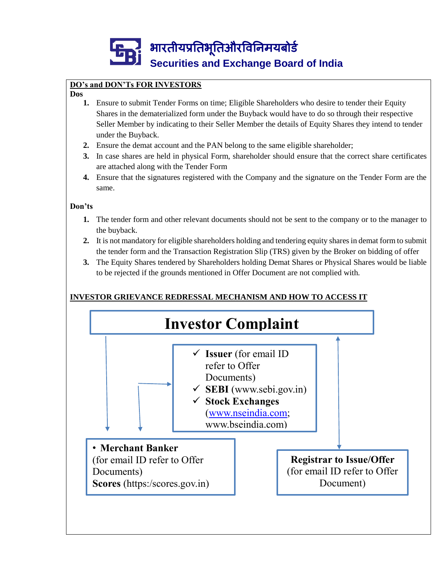

# **DO's and DON'Ts FOR INVESTORS**

#### **Dos**

- **1.** Ensure to submit Tender Forms on time; Eligible Shareholders who desire to tender their Equity Shares in the dematerialized form under the Buyback would have to do so through their respective Seller Member by indicating to their Seller Member the details of Equity Shares they intend to tender under the Buyback.
- **2.** Ensure the demat account and the PAN belong to the same eligible shareholder;
- **3.** In case shares are held in physical Form, shareholder should ensure that the correct share certificates are attached along with the Tender Form
- **4.** Ensure that the signatures registered with the Company and the signature on the Tender Form are the same.

#### **Don'ts**

- **1.** The tender form and other relevant documents should not be sent to the company or to the manager to the buyback.
- **2.** It is not mandatory for eligible shareholders holding and tendering equity shares in demat form to submit the tender form and the Transaction Registration Slip (TRS) given by the Broker on bidding of offer
- **3.** The Equity Shares tendered by Shareholders holding Demat Shares or Physical Shares would be liable to be rejected if the grounds mentioned in Offer Document are not complied with.

# **INVESTOR GRIEVANCE REDRESSAL MECHANISM AND HOW TO ACCESS IT**

(https:/scores.gov.in)

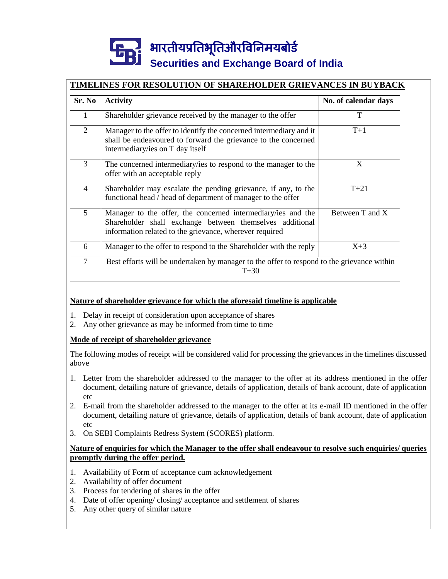# भारतीयप्रततभूततऔरवितिमयबोर्ड **Securities and Exchange Board of India**

# **TIMELINES FOR RESOLUTION OF SHAREHOLDER GRIEVANCES IN BUYBACK**

| Sr. No         | <b>Activity</b>                                                                                                                                                                     | No. of calendar days |  |
|----------------|-------------------------------------------------------------------------------------------------------------------------------------------------------------------------------------|----------------------|--|
| $\mathbf{1}$   | Shareholder grievance received by the manager to the offer                                                                                                                          | T                    |  |
| $\overline{2}$ | Manager to the offer to identify the concerned intermediary and it<br>shall be endeavoured to forward the grievance to the concerned<br>intermediary/ies on T day itself            | $T+1$                |  |
| 3              | The concerned intermediary/ies to respond to the manager to the<br>offer with an acceptable reply                                                                                   | X                    |  |
| $\overline{4}$ | Shareholder may escalate the pending grievance, if any, to the<br>functional head / head of department of manager to the offer                                                      | $T + 21$             |  |
| 5              | Manager to the offer, the concerned intermediary/ies and the<br>Shareholder shall exchange between themselves additional<br>information related to the grievance, wherever required | Between T and X      |  |
| 6              | Manager to the offer to respond to the Shareholder with the reply                                                                                                                   | $X+3$                |  |
| 7              | Best efforts will be undertaken by manager to the offer to respond to the grievance within<br>$T + 30$                                                                              |                      |  |

#### **Nature of shareholder grievance for which the aforesaid timeline is applicable**

- 1. Delay in receipt of consideration upon acceptance of shares
- 2. Any other grievance as may be informed from time to time

# **Mode of receipt of shareholder grievance**

The following modes of receipt will be considered valid for processing the grievances in the timelines discussed above

- 1. Letter from the shareholder addressed to the manager to the offer at its address mentioned in the offer document, detailing nature of grievance, details of application, details of bank account, date of application etc
- 2. E-mail from the shareholder addressed to the manager to the offer at its e-mail ID mentioned in the offer document, detailing nature of grievance, details of application, details of bank account, date of application etc
- 3. On SEBI Complaints Redress System (SCORES) platform.

#### **Nature of enquiries for which the Manager to the offer shall endeavour to resolve such enquiries/ queries promptly during the offer period.**

- 1. Availability of Form of acceptance cum acknowledgement
- 2. Availability of offer document
- 3. Process for tendering of shares in the offer
- 4. Date of offer opening/ closing/ acceptance and settlement of shares
- 5. Any other query of similar nature